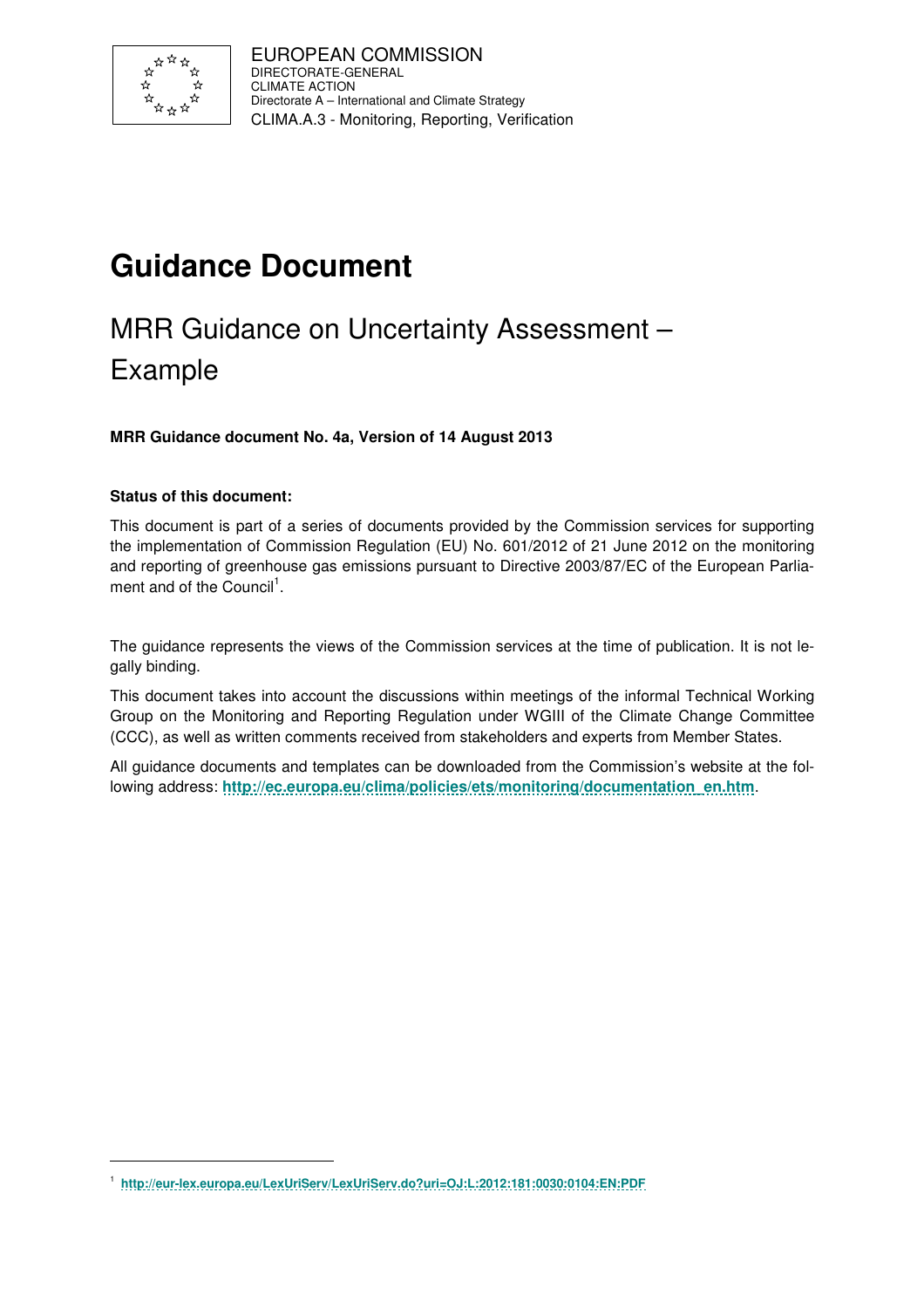

# **Guidance Document**

# MRR Guidance on Uncertainty Assessment – Example

**MRR Guidance document No. 4a, Version of 14 August 2013** 

### **Status of this document:**

l

This document is part of a series of documents provided by the Commission services for supporting the implementation of Commission Regulation (EU) No. 601/2012 of 21 June 2012 on the monitoring and reporting of greenhouse gas emissions pursuant to Directive 2003/87/EC of the European Parliament and of the Council<sup>1</sup>.

The guidance represents the views of the Commission services at the time of publication. It is not legally binding.

This document takes into account the discussions within meetings of the informal Technical Working Group on the Monitoring and Reporting Regulation under WGIII of the Climate Change Committee (CCC), as well as written comments received from stakeholders and experts from Member States.

All guidance documents and templates can be downloaded from the Commission's website at the following address: **http://ec.europa.eu/clima/policies/ets/monitoring/documentation\_en.htm**.

<sup>1</sup> **http://eur-lex.europa.eu/LexUriServ/LexUriServ.do?uri=OJ:L:2012:181:0030:0104:EN:PDF**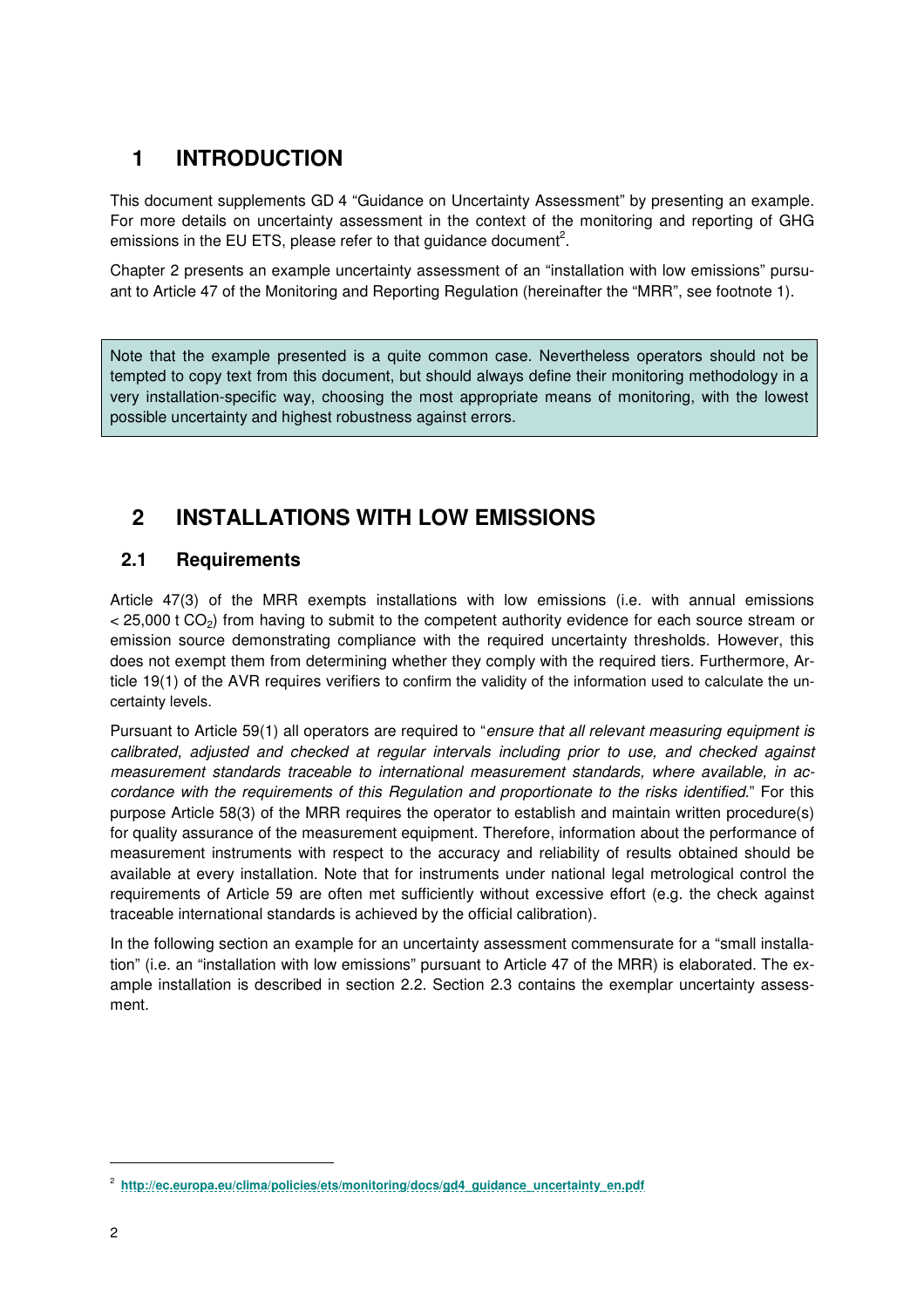# **1 INTRODUCTION**

This document supplements GD 4 "Guidance on Uncertainty Assessment" by presenting an example. For more details on uncertainty assessment in the context of the monitoring and reporting of GHG emissions in the EU ETS, please refer to that guidance document<sup>2</sup>.

Chapter 2 presents an example uncertainty assessment of an "installation with low emissions" pursuant to Article 47 of the Monitoring and Reporting Regulation (hereinafter the "MRR", see footnote 1).

Note that the example presented is a quite common case. Nevertheless operators should not be tempted to copy text from this document, but should always define their monitoring methodology in a very installation-specific way, choosing the most appropriate means of monitoring, with the lowest possible uncertainty and highest robustness against errors.

# **2 INSTALLATIONS WITH LOW EMISSIONS**

## **2.1 Requirements**

Article 47(3) of the MRR exempts installations with low emissions (i.e. with annual emissions  $<$  25,000 t CO<sub>2</sub>) from having to submit to the competent authority evidence for each source stream or emission source demonstrating compliance with the required uncertainty thresholds. However, this does not exempt them from determining whether they comply with the required tiers. Furthermore, Article 19(1) of the AVR requires verifiers to confirm the validity of the information used to calculate the uncertainty levels.

Pursuant to Article 59(1) all operators are required to "ensure that all relevant measuring equipment is calibrated, adjusted and checked at regular intervals including prior to use, and checked against measurement standards traceable to international measurement standards, where available, in accordance with the requirements of this Regulation and proportionate to the risks identified." For this purpose Article 58(3) of the MRR requires the operator to establish and maintain written procedure(s) for quality assurance of the measurement equipment. Therefore, information about the performance of measurement instruments with respect to the accuracy and reliability of results obtained should be available at every installation. Note that for instruments under national legal metrological control the requirements of Article 59 are often met sufficiently without excessive effort (e.g. the check against traceable international standards is achieved by the official calibration).

In the following section an example for an uncertainty assessment commensurate for a "small installation" (i.e. an "installation with low emissions" pursuant to Article 47 of the MRR) is elaborated. The example installation is described in section 2.2. Section 2.3 contains the exemplar uncertainty assessment.

-

<sup>2</sup> **http://ec.europa.eu/clima/policies/ets/monitoring/docs/gd4\_guidance\_uncertainty\_en.pdf**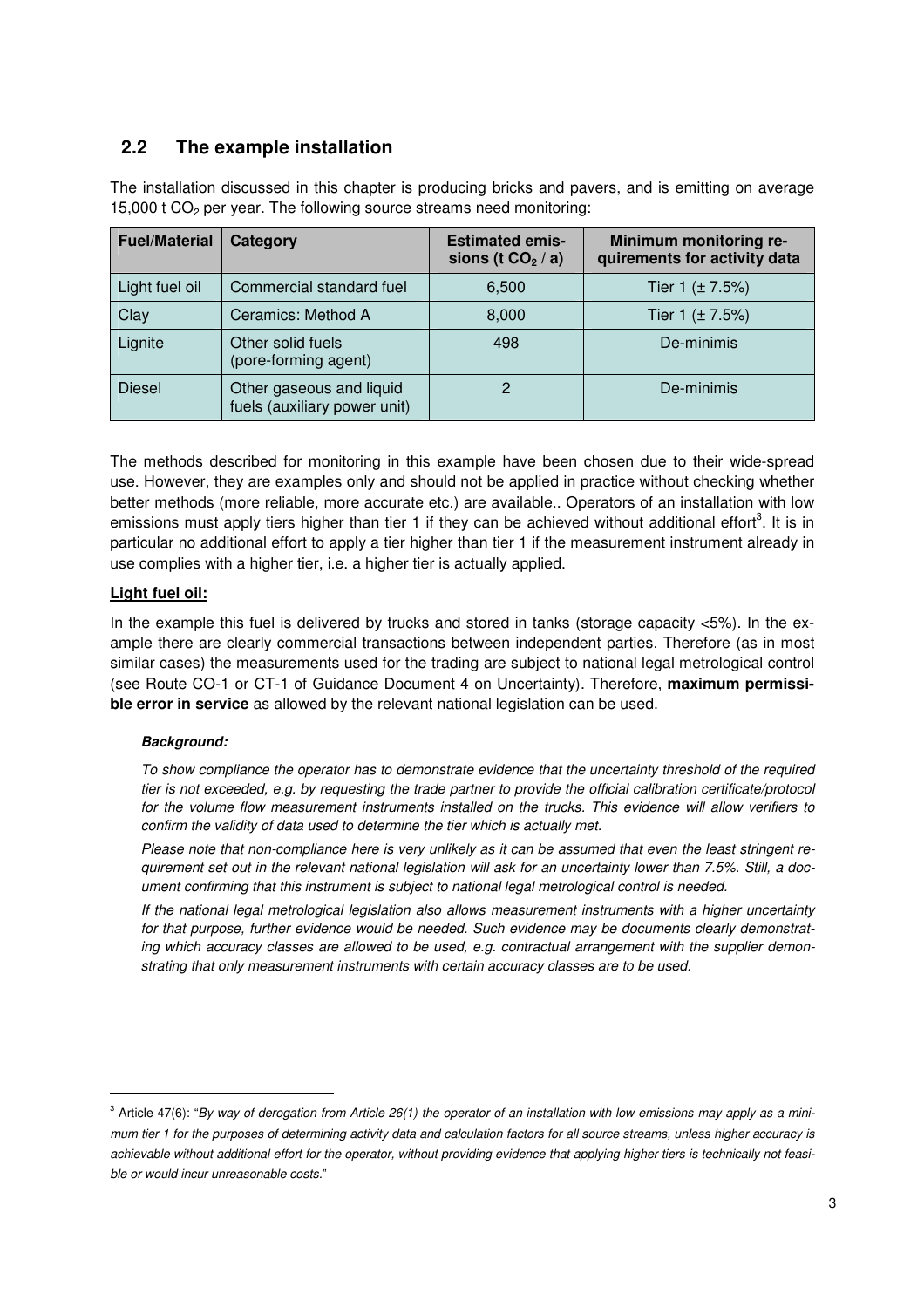# **2.2 The example installation**

The installation discussed in this chapter is producing bricks and pavers, and is emitting on average 15,000  $t$  CO<sub>2</sub> per year. The following source streams need monitoring:

| <b>Fuel/Material</b> | Category                                                 | <b>Estimated emis-</b><br>sions (t $CO2 / a$ ) | Minimum monitoring re-<br>quirements for activity data |
|----------------------|----------------------------------------------------------|------------------------------------------------|--------------------------------------------------------|
| Light fuel oil       | Commercial standard fuel                                 | 6,500                                          | Tier 1 $(\pm 7.5%)$                                    |
| Clay                 | Ceramics: Method A                                       | 8,000                                          | Tier 1 $(\pm 7.5%)$                                    |
| Lignite              | Other solid fuels<br>(pore-forming agent)                | 498                                            | De-minimis                                             |
| <b>Diesel</b>        | Other gaseous and liquid<br>fuels (auxiliary power unit) |                                                | De-minimis                                             |

The methods described for monitoring in this example have been chosen due to their wide-spread use. However, they are examples only and should not be applied in practice without checking whether better methods (more reliable, more accurate etc.) are available.. Operators of an installation with low emissions must apply tiers higher than tier 1 if they can be achieved without additional effort<sup>3</sup>. It is in particular no additional effort to apply a tier higher than tier 1 if the measurement instrument already in use complies with a higher tier, i.e. a higher tier is actually applied.

#### **Light fuel oil:**

In the example this fuel is delivered by trucks and stored in tanks (storage capacity  $<5\%$ ). In the example there are clearly commercial transactions between independent parties. Therefore (as in most similar cases) the measurements used for the trading are subject to national legal metrological control (see Route CO-1 or CT-1 of Guidance Document 4 on Uncertainty). Therefore, **maximum permissible error in service** as allowed by the relevant national legislation can be used.

#### **Background:**

-

To show compliance the operator has to demonstrate evidence that the uncertainty threshold of the required tier is not exceeded, e.g. by requesting the trade partner to provide the official calibration certificate/protocol for the volume flow measurement instruments installed on the trucks. This evidence will allow verifiers to confirm the validity of data used to determine the tier which is actually met.

Please note that non-compliance here is very unlikely as it can be assumed that even the least stringent requirement set out in the relevant national legislation will ask for an uncertainty lower than 7.5%. Still, a document confirming that this instrument is subject to national legal metrological control is needed.

If the national legal metrological legislation also allows measurement instruments with a higher uncertainty for that purpose, further evidence would be needed. Such evidence may be documents clearly demonstrating which accuracy classes are allowed to be used, e.g. contractual arrangement with the supplier demonstrating that only measurement instruments with certain accuracy classes are to be used.

 $^3$  Article 47(6): "By way of derogation from Article 26(1) the operator of an installation with low emissions may apply as a minimum tier 1 for the purposes of determining activity data and calculation factors for all source streams, unless higher accuracy is achievable without additional effort for the operator, without providing evidence that applying higher tiers is technically not feasible or would incur unreasonable costs."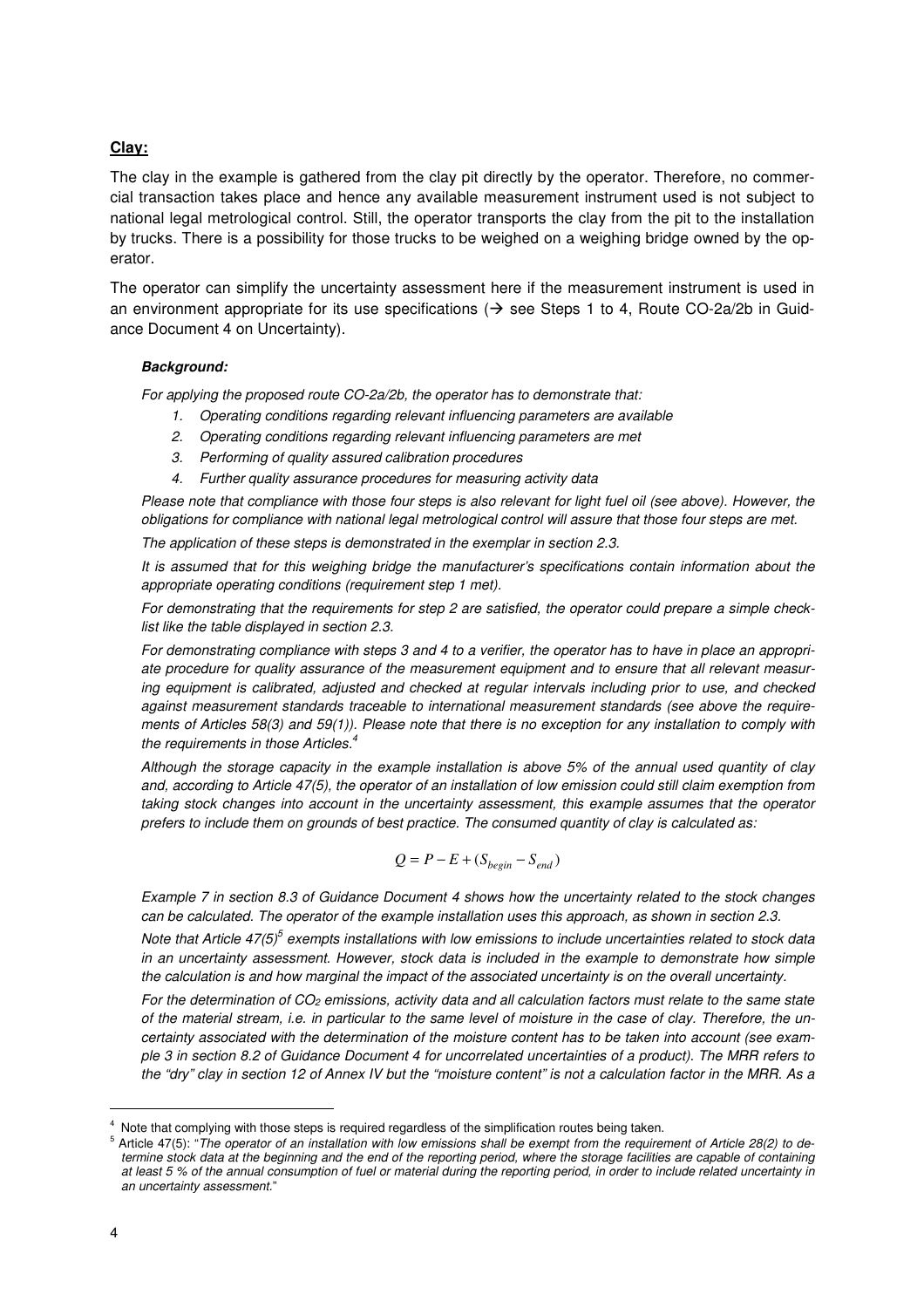#### **Clay:**

The clay in the example is gathered from the clay pit directly by the operator. Therefore, no commercial transaction takes place and hence any available measurement instrument used is not subject to national legal metrological control. Still, the operator transports the clay from the pit to the installation by trucks. There is a possibility for those trucks to be weighed on a weighing bridge owned by the operator.

The operator can simplify the uncertainty assessment here if the measurement instrument is used in an environment appropriate for its use specifications ( $\rightarrow$  see Steps 1 to 4, Route CO-2a/2b in Guidance Document 4 on Uncertainty).

#### **Background:**

For applying the proposed route CO-2a/2b, the operator has to demonstrate that:

- 1. Operating conditions regarding relevant influencing parameters are available
- 2. Operating conditions regarding relevant influencing parameters are met
- 3. Performing of quality assured calibration procedures
- 4. Further quality assurance procedures for measuring activity data

Please note that compliance with those four steps is also relevant for light fuel oil (see above). However, the obligations for compliance with national legal metrological control will assure that those four steps are met.

The application of these steps is demonstrated in the exemplar in section 2.3.

It is assumed that for this weighing bridge the manufacturer's specifications contain information about the appropriate operating conditions (requirement step 1 met).

For demonstrating that the requirements for step 2 are satisfied, the operator could prepare a simple checklist like the table displayed in section 2.3.

For demonstrating compliance with steps 3 and 4 to a verifier, the operator has to have in place an appropriate procedure for quality assurance of the measurement equipment and to ensure that all relevant measuring equipment is calibrated, adjusted and checked at regular intervals including prior to use, and checked against measurement standards traceable to international measurement standards (see above the requirements of Articles 58(3) and 59(1)). Please note that there is no exception for any installation to comply with the requirements in those Articles. $4$ 

Although the storage capacity in the example installation is above 5% of the annual used quantity of clay and, according to Article 47(5), the operator of an installation of low emission could still claim exemption from taking stock changes into account in the uncertainty assessment, this example assumes that the operator prefers to include them on grounds of best practice. The consumed quantity of clay is calculated as:

$$
Q = P - E + (S_{begin} - S_{end})
$$

Example 7 in section 8.3 of Guidance Document 4 shows how the uncertainty related to the stock changes can be calculated. The operator of the example installation uses this approach, as shown in section 2.3.

Note that Article  $47(5)^5$  exempts installations with low emissions to include uncertainties related to stock data in an uncertainty assessment. However, stock data is included in the example to demonstrate how simple the calculation is and how marginal the impact of the associated uncertainty is on the overall uncertainty.

For the determination of  $CO<sub>2</sub>$  emissions, activity data and all calculation factors must relate to the same state of the material stream, i.e. in particular to the same level of moisture in the case of clay. Therefore, the uncertainty associated with the determination of the moisture content has to be taken into account (see example 3 in section 8.2 of Guidance Document 4 for uncorrelated uncertainties of a product). The MRR refers to the "dry" clay in section 12 of Annex IV but the "moisture content" is not a calculation factor in the MRR. As a

l

<sup>4</sup> Note that complying with those steps is required regardless of the simplification routes being taken.

<sup>&</sup>lt;sup>5</sup> Article 47(5): "The operator of an installation with low emissions shall be exempt from the requirement of Article 28(2) to determine stock data at the beginning and the end of the reporting period, where the storage facilities are capable of containing at least 5 % of the annual consumption of fuel or material during the reporting period, in order to include related uncertainty in an uncertainty assessment."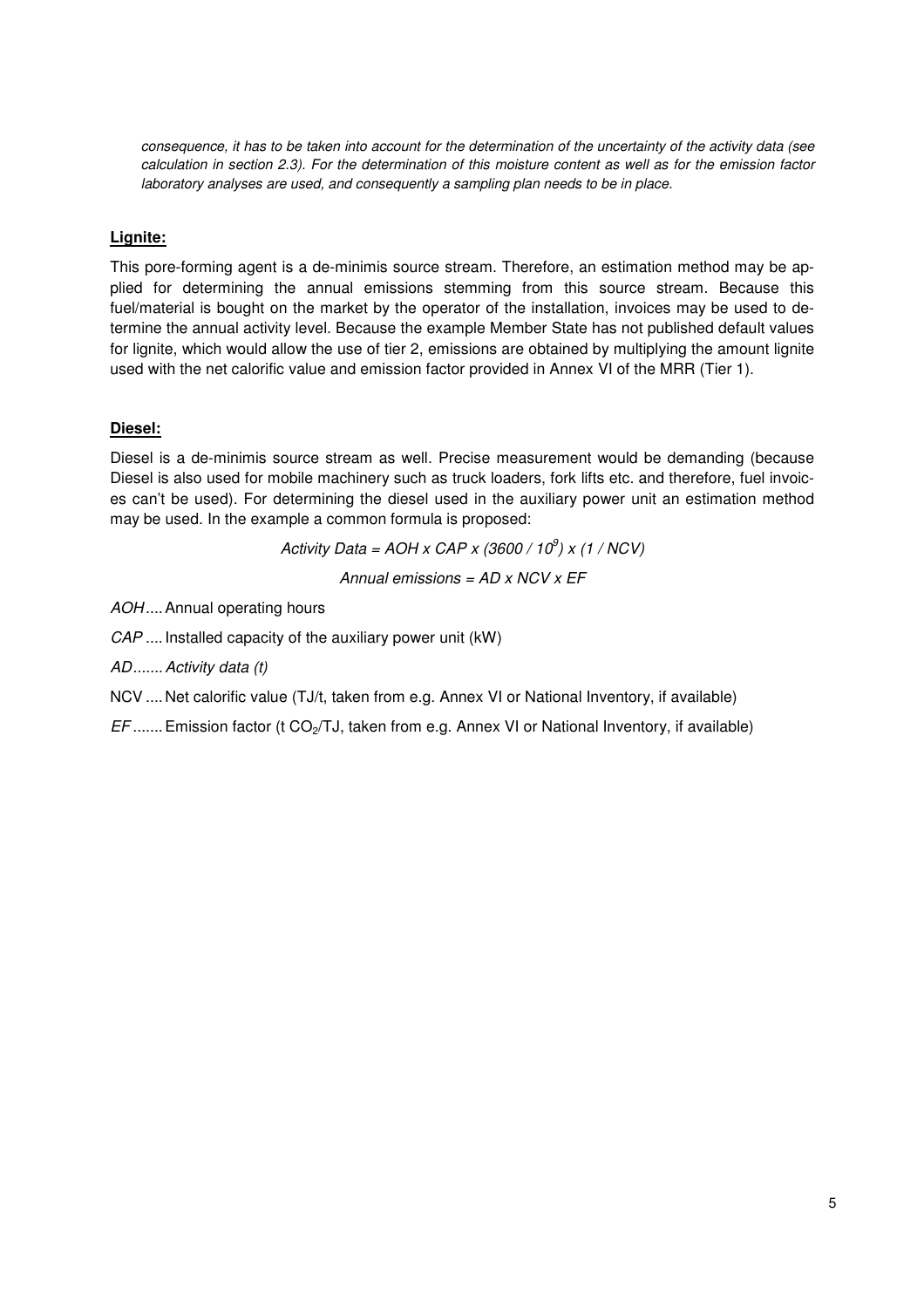consequence, it has to be taken into account for the determination of the uncertainty of the activity data (see calculation in section 2.3). For the determination of this moisture content as well as for the emission factor laboratory analyses are used, and consequently a sampling plan needs to be in place.

#### **Lignite:**

This pore-forming agent is a de-minimis source stream. Therefore, an estimation method may be applied for determining the annual emissions stemming from this source stream. Because this fuel/material is bought on the market by the operator of the installation, invoices may be used to determine the annual activity level. Because the example Member State has not published default values for lignite, which would allow the use of tier 2, emissions are obtained by multiplying the amount lignite used with the net calorific value and emission factor provided in Annex VI of the MRR (Tier 1).

#### **Diesel:**

Diesel is a de-minimis source stream as well. Precise measurement would be demanding (because Diesel is also used for mobile machinery such as truck loaders, fork lifts etc. and therefore, fuel invoices can't be used). For determining the diesel used in the auxiliary power unit an estimation method may be used. In the example a common formula is proposed:

Activity Data = AOH x CAP x  $(3600/10^9)$  x  $(1/NCV)$ 

Annual emissions =  $AD \times NCV \times EF$ 

AOH.... Annual operating hours

CAP .... Installed capacity of the auxiliary power unit (kW)

AD ....... Activity data (t)

NCV .... Net calorific value (TJ/t, taken from e.g. Annex VI or National Inventory, if available)

 $EF$ ....... Emission factor (t CO<sub>2</sub>/TJ, taken from e.g. Annex VI or National Inventory, if available)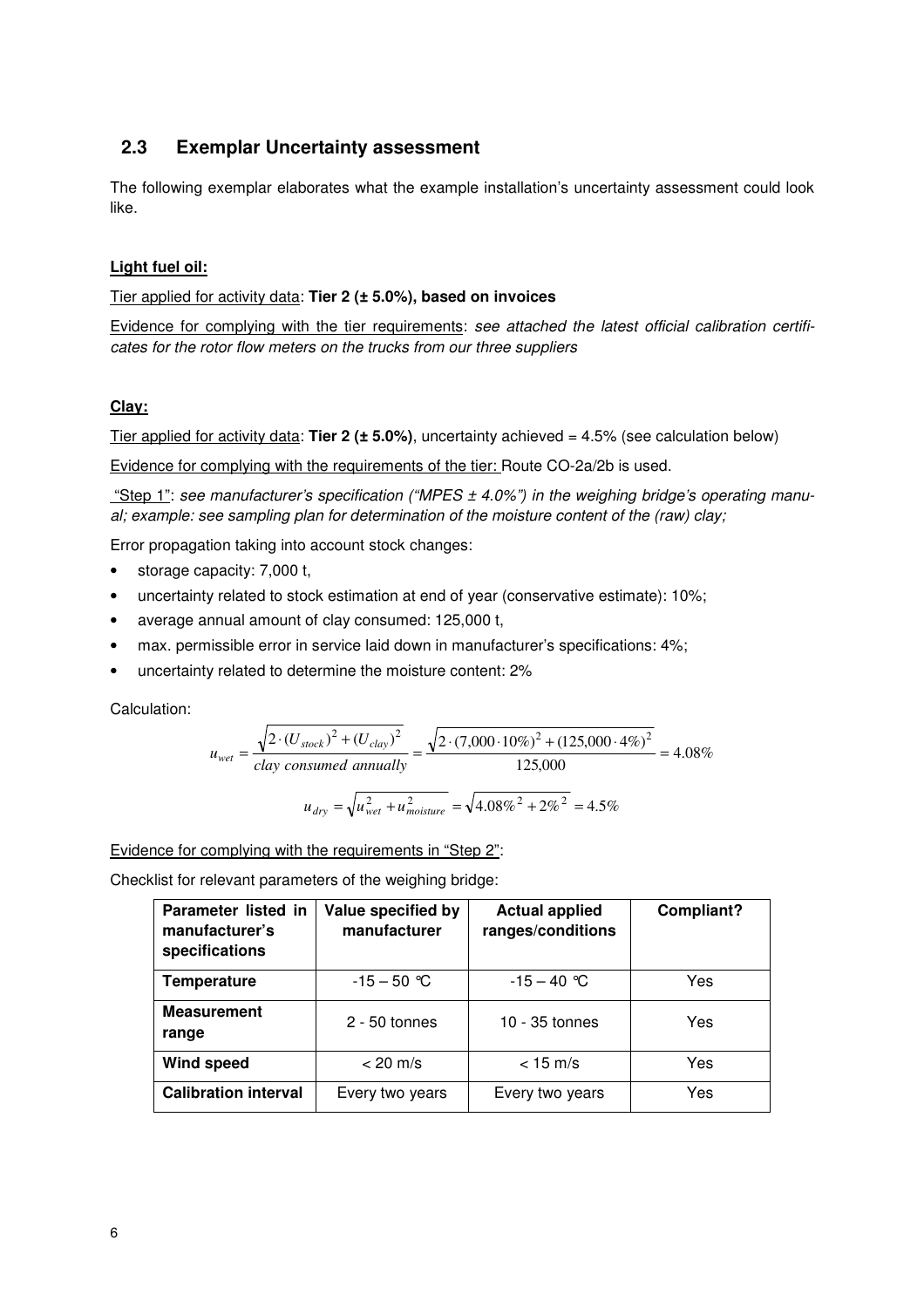### **2.3 Exemplar Uncertainty assessment**

The following exemplar elaborates what the example installation's uncertainty assessment could look like.

#### **Light fuel oil:**

Tier applied for activity data: **Tier 2 (± 5.0%), based on invoices** 

Evidence for complying with the tier requirements: see attached the latest official calibration certificates for the rotor flow meters on the trucks from our three suppliers

#### **Clay:**

Tier applied for activity data: **Tier 2 (± 5.0%)**, uncertainty achieved = 4.5% (see calculation below)

Evidence for complying with the requirements of the tier: Route CO-2a/2b is used.

"Step 1": see manufacturer's specification ("MPES  $\pm$  4.0%") in the weighing bridge's operating manual; example: see sampling plan for determination of the moisture content of the (raw) clay;

Error propagation taking into account stock changes:

- storage capacity: 7,000 t.
- uncertainty related to stock estimation at end of year (conservative estimate): 10%;
- average annual amount of clay consumed: 125,000 t,
- max. permissible error in service laid down in manufacturer's specifications: 4%;
- uncertainty related to determine the moisture content: 2%

Calculation:

$$
u_{wet} = \frac{\sqrt{2 \cdot (U_{stock})^2 + (U_{clay})^2}}{clay\ consumed\ annually} = \frac{\sqrt{2 \cdot (7,000 \cdot 10\%)^2 + (125,000 \cdot 4\%)^2}}{125,000} = 4.08\%
$$
  

$$
u_{dry} = \sqrt{u_{wet}^2 + u_{moisture}^2} = \sqrt{4.08\%^2 + 2\%^2} = 4.5\%
$$

Evidence for complying with the requirements in "Step 2":

Checklist for relevant parameters of the weighing bridge:

| Parameter listed in<br>manufacturer's<br>specifications | Value specified by<br>manufacturer | <b>Actual applied</b><br>ranges/conditions | Compliant? |
|---------------------------------------------------------|------------------------------------|--------------------------------------------|------------|
| Temperature                                             | $-15 - 50$ °C                      | $-15 - 40$ °C                              | Yes        |
| <b>Measurement</b><br>range                             | $2 - 50$ tonnes                    | $10 - 35$ tonnes                           | Yes        |
| Wind speed                                              | $< 20$ m/s                         | $<$ 15 m/s                                 | Yes        |
| <b>Calibration interval</b>                             | Every two years                    | Every two years                            | Yes        |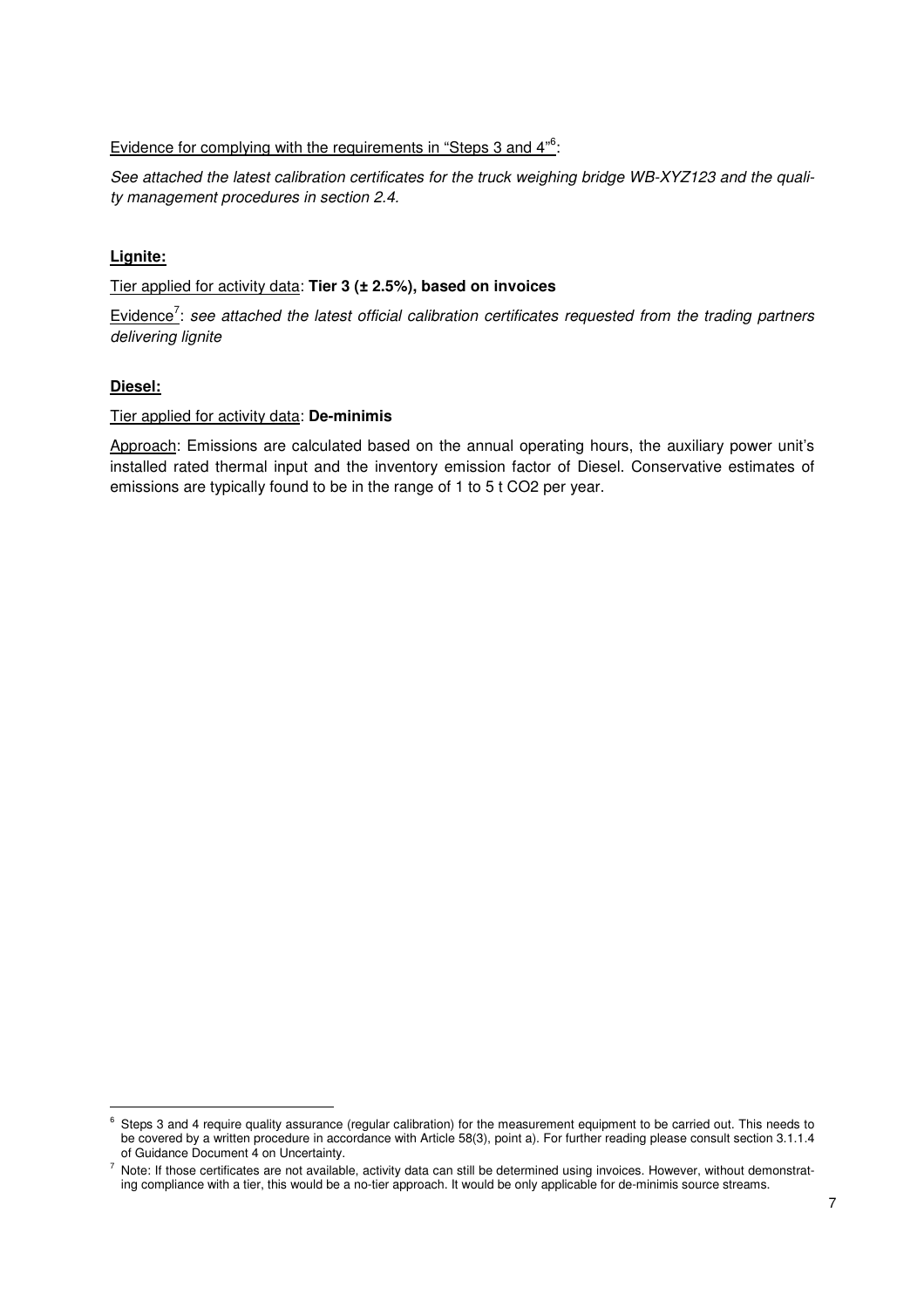#### Evidence for complying with the requirements in "Steps 3 and 4<sup>"6</sup>:

See attached the latest calibration certificates for the truck weighing bridge WB-XYZ123 and the quality management procedures in section 2.4.

#### **Lignite:**

Tier applied for activity data: **Tier 3 (± 2.5%), based on invoices** 

Evidence<sup>7</sup>: see attached the latest official calibration certificates requested from the trading partners delivering lignite

#### **Diesel:**

-

#### Tier applied for activity data: **De-minimis**

Approach: Emissions are calculated based on the annual operating hours, the auxiliary power unit's installed rated thermal input and the inventory emission factor of Diesel. Conservative estimates of emissions are typically found to be in the range of 1 to 5 t CO2 per year.

<sup>6</sup> Steps 3 and 4 require quality assurance (regular calibration) for the measurement equipment to be carried out. This needs to be covered by a written procedure in accordance with Article 58(3), point a). For further reading please consult section 3.1.1.4 of Guidance Document 4 on Uncertainty.

 $^7$  Note: If those certificates are not available, activity data can still be determined using invoices. However, without demonstrating compliance with a tier, this would be a no-tier approach. It would be only applicable for de-minimis source streams.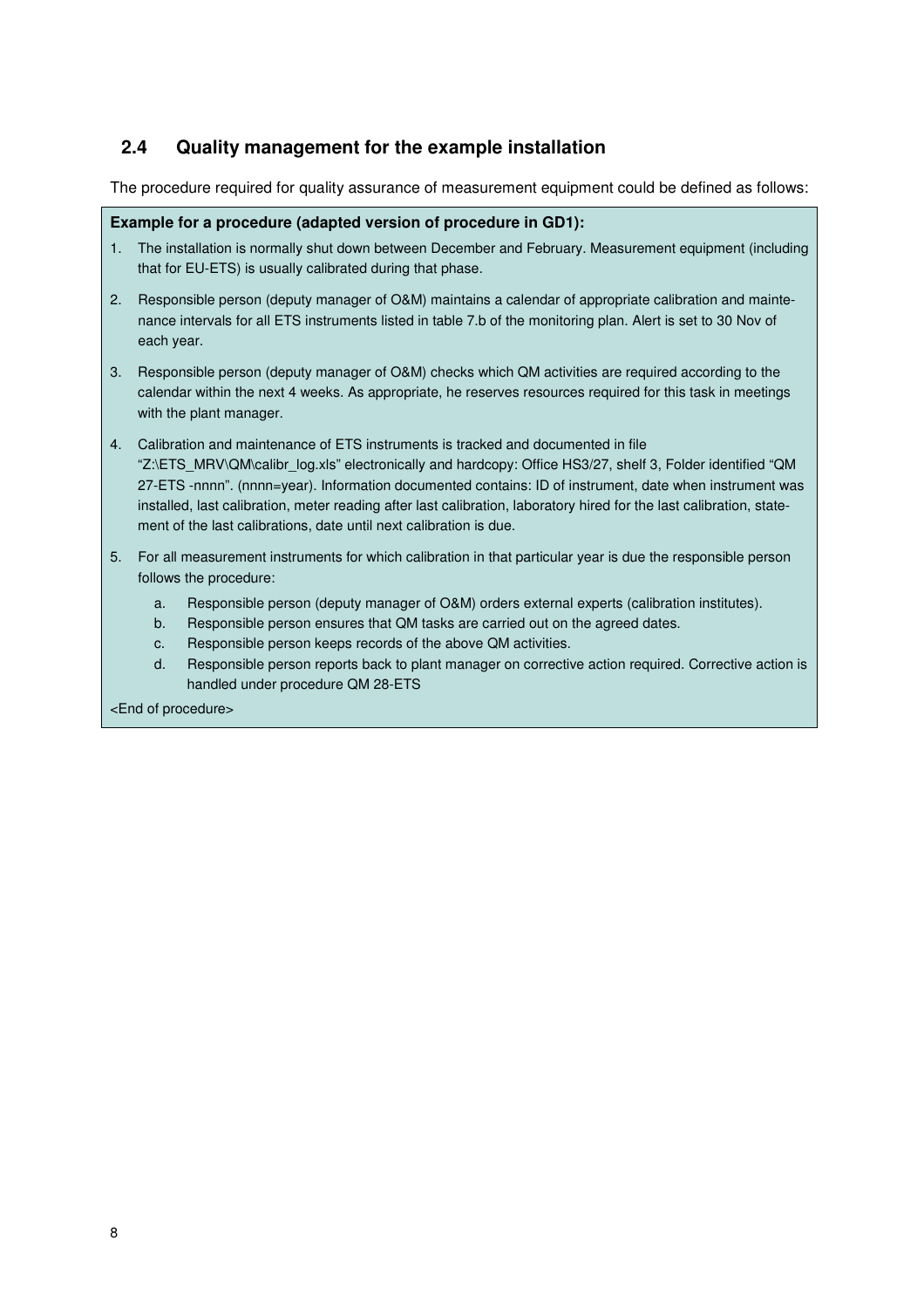## **2.4 Quality management for the example installation**

The procedure required for quality assurance of measurement equipment could be defined as follows:

#### **Example for a procedure (adapted version of procedure in GD1):**

- 1. The installation is normally shut down between December and February. Measurement equipment (including that for EU-ETS) is usually calibrated during that phase.
- 2. Responsible person (deputy manager of O&M) maintains a calendar of appropriate calibration and maintenance intervals for all ETS instruments listed in table 7.b of the monitoring plan. Alert is set to 30 Nov of each year.
- 3. Responsible person (deputy manager of O&M) checks which QM activities are required according to the calendar within the next 4 weeks. As appropriate, he reserves resources required for this task in meetings with the plant manager.
- 4. Calibration and maintenance of ETS instruments is tracked and documented in file "Z:\ETS\_MRV\QM\calibr\_log.xls" electronically and hardcopy: Office HS3/27, shelf 3, Folder identified "QM 27-ETS -nnnn". (nnnn=year). Information documented contains: ID of instrument, date when instrument was installed, last calibration, meter reading after last calibration, laboratory hired for the last calibration, statement of the last calibrations, date until next calibration is due.
- 5. For all measurement instruments for which calibration in that particular year is due the responsible person follows the procedure:
	- a. Responsible person (deputy manager of O&M) orders external experts (calibration institutes).
	- b. Responsible person ensures that QM tasks are carried out on the agreed dates.
	- c. Responsible person keeps records of the above QM activities.
	- d. Responsible person reports back to plant manager on corrective action required. Corrective action is handled under procedure QM 28-ETS

<End of procedure>